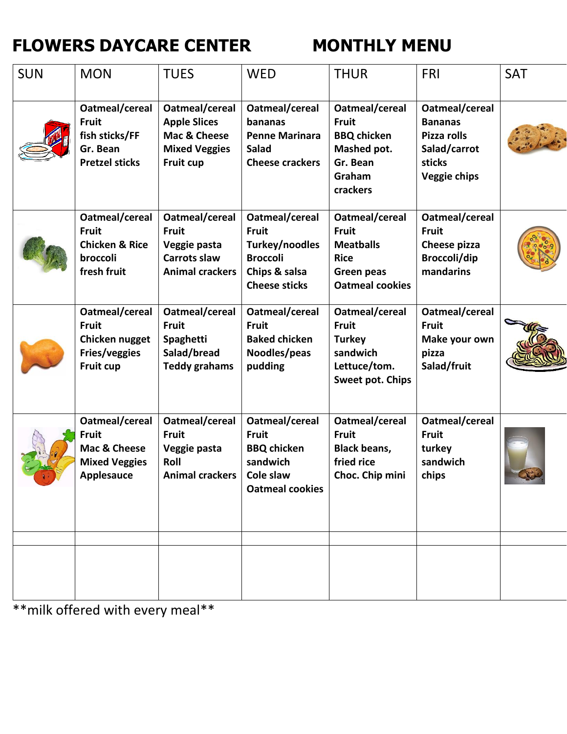## **FLOWERS DAYCARE CENTER MONTHLY MENU**

| <b>SUN</b> | <b>MON</b>                                                                                  | <b>TUES</b>                                                                                     | <b>WED</b>                                                                                                   | <b>THUR</b>                                                                                               | <b>FRI</b>                                                                                | <b>SAT</b> |
|------------|---------------------------------------------------------------------------------------------|-------------------------------------------------------------------------------------------------|--------------------------------------------------------------------------------------------------------------|-----------------------------------------------------------------------------------------------------------|-------------------------------------------------------------------------------------------|------------|
|            | Oatmeal/cereal<br><b>Fruit</b><br>fish sticks/FF<br>Gr. Bean<br><b>Pretzel sticks</b>       | Oatmeal/cereal<br><b>Apple Slices</b><br>Mac & Cheese<br><b>Mixed Veggies</b><br>Fruit cup      | Oatmeal/cereal<br>bananas<br><b>Penne Marinara</b><br><b>Salad</b><br><b>Cheese crackers</b>                 | Oatmeal/cereal<br><b>Fruit</b><br><b>BBQ</b> chicken<br>Mashed pot.<br>Gr. Bean<br>Graham<br>crackers     | Oatmeal/cereal<br><b>Bananas</b><br>Pizza rolls<br>Salad/carrot<br>sticks<br>Veggie chips |            |
|            | Oatmeal/cereal<br><b>Fruit</b><br><b>Chicken &amp; Rice</b><br>broccoli<br>fresh fruit      | Oatmeal/cereal<br><b>Fruit</b><br>Veggie pasta<br><b>Carrots slaw</b><br><b>Animal crackers</b> | Oatmeal/cereal<br><b>Fruit</b><br>Turkey/noodles<br><b>Broccoli</b><br>Chips & salsa<br><b>Cheese sticks</b> | Oatmeal/cereal<br><b>Fruit</b><br><b>Meatballs</b><br><b>Rice</b><br>Green peas<br><b>Oatmeal cookies</b> | Oatmeal/cereal<br><b>Fruit</b><br>Cheese pizza<br><b>Broccoli/dip</b><br>mandarins        |            |
|            | Oatmeal/cereal<br><b>Fruit</b><br>Chicken nugget<br><b>Fries/veggies</b><br>Fruit cup       | Oatmeal/cereal<br><b>Fruit</b><br>Spaghetti<br>Salad/bread<br><b>Teddy grahams</b>              | Oatmeal/cereal<br><b>Fruit</b><br><b>Baked chicken</b><br>Noodles/peas<br>pudding                            | Oatmeal/cereal<br><b>Fruit</b><br><b>Turkey</b><br>sandwich<br>Lettuce/tom.<br>Sweet pot. Chips           | Oatmeal/cereal<br><b>Fruit</b><br>Make your own<br>pizza<br>Salad/fruit                   |            |
|            | Oatmeal/cereal<br><b>Fruit</b><br>Mac & Cheese<br><b>Mixed Veggies</b><br><b>Applesauce</b> | Oatmeal/cereal<br><b>Fruit</b><br>Veggie pasta<br>Roll<br><b>Animal crackers</b>                | Oatmeal/cereal<br><b>Fruit</b><br><b>BBQ</b> chicken<br>sandwich<br>Cole slaw<br><b>Oatmeal cookies</b>      | Oatmeal/cereal<br><b>Fruit</b><br><b>Black beans,</b><br>fried rice<br>Choc. Chip mini                    | Oatmeal/cereal<br><b>Fruit</b><br>turkey<br>sandwich<br>chips                             |            |
|            |                                                                                             |                                                                                                 |                                                                                                              |                                                                                                           |                                                                                           |            |
|            |                                                                                             |                                                                                                 |                                                                                                              |                                                                                                           |                                                                                           |            |

\*\*milk offered with every meal\*\*